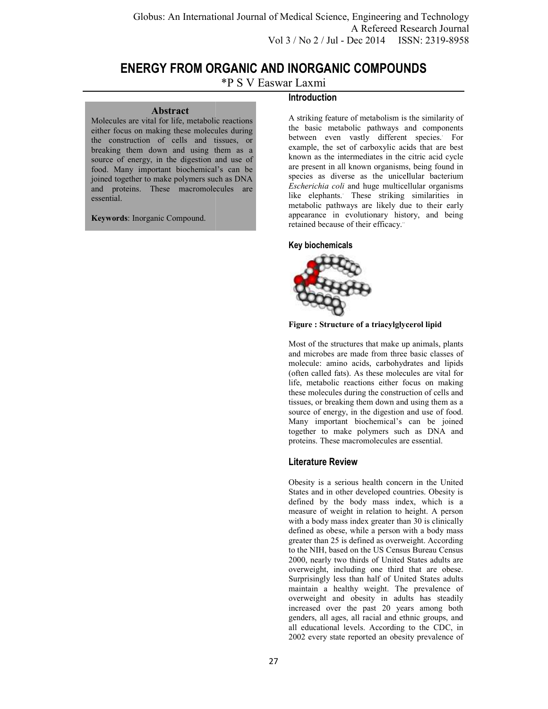# **ENERGY FROM ORGANIC AND INORGANIC COMPOUNDS**

\*P S V Easwar Laxmi

#### **Abstract**

Molecules are vital for life, metabolic reactions either focus on making these molecules during the construction of cells and tissues, or breaking them down and using them as a source of energy, in the digestion and use of food. Many important biochemical's can be joined together to make polymers such as DNA and proteins. These macromolecules are essential.

**Keywords**: Inorganic Compound.

## **Introduction**

A striking feature of metabolism is the similarity of the basic metabolic pathways and between even vastly different species. For example, the set of carboxylic acids that are best known as the intermediates in the citric acid cycle are present in all known organisms, being found in species as diverse as the unicellular bacterium *Escherichia coli* and huge multicellular organisms like elephants. These striking similarities in metabolic pathways are likely due to their early appearance in evolutionary history, and being retained because of their efficacy." **ENERGY FROM ORGANIC AND INORGANIC COMPOUNDS**<br>
\*P S V Easwar Laxmi<br>
Introduction<br>
and intervention and as a striking feature of metabolism is the similarity of<br>
r focus on making these molecules during<br>
the basic metabolic

#### **Key biochemicals**



**Figure : Structure of a triacylglycerol lipid**

Most of the structures that make up animals, plants and microbes are made from three basic classes of molecule: amino acids, carbohydrates and lipids (often called fats). As these molecules are vital for life, metabolic reactions either focus on making these molecules during the construction of cells and tissues, or breaking them down and using them as a source of energy, in the digestion and use of food. Many important biochemical's can be joined together to make polymers such as DNA and proteins. These macromolecules are essential. example, the set of carboxylic acids that are best<br>
are present in all known organisms, being found in<br>
appecies as diverse as the unicellular bacterium<br> *Escherichia coli* and huge multicellular organisms<br>
like elephants.

### **Literature Review**

Obesity is a serious health concern in the United States and in other developed countries. Obesity is defined by the body mass index, which is a measure of weight in relation to height. A person with a body mass index greater than 30 is clinically defined as obese, while a person with a body mass greater than 25 is defined as overweight. According to the NIH, based on the US Census Bureau Census 2000, nearly two thirds of United States adults are overweight, including one third that are obese. Surprisingly less than half of United States adults maintain a healthy weight. The prevalence of overweight and obesity in adults has steadily increased over the past 20 years among both genders, all ages, all racial and ethnic groups, and all educational levels. According to the CDC, in 2002 every state reported an obesity prevalence of together to make polymers such as DNA and<br>proteins. These macromolecules are essential.<br>**Literature Review**<br>Obesity is a serious health concern in the United<br>States and in other developed countries. Obesity is<br>defined by t Il Science, Engineering and Technology<br>
A Refereed Research Journal<br>
2/ Jul - Dec 2014 ISSN: 2319-8958<br>
RGANIC COMPOUNDS<br>
Xmi<br>
the intermediate in the similarity of<br>
static metabolic pathways and components<br>
are the interm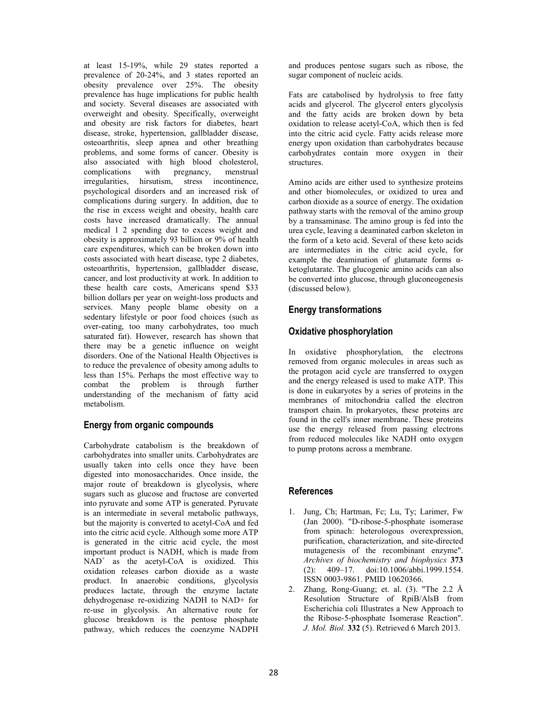at least 15-19%, while 29 states reported a prevalence of 20-24%, and 3 states reported an obesity prevalence over 25%. The obesity prevalence has huge implications for public health and society. Several diseases are associated with overweight and obesity. Specifically, overweight and obesity are risk factors for diabetes, heart disease, stroke, hypertension, gallbladder disease, osteoarthritis, sleep apnea and other breathing problems, and some forms of cancer. Obesity is also associated with high blood cholesterol, complications with pregnancy, menstrual complications with pregnancy, menstrual irregularities, hirsutism, stress incontinence, psychological disorders and an increased risk of complications during surgery. In addition, due to the rise in excess weight and obesity, health care costs have increased dramatically. The annual medical 1 2 spending due to excess weight and obesity is approximately 93 billion or 9% of health care expenditures, which can be broken down into costs associated with heart disease, type 2 diabetes, osteoarthritis, hypertension, gallbladder disease, cancer, and lost productivity at work. In addition to these health care costs, Americans spend \$33 billion dollars per year on weight-loss products and services. Many people blame obesity on a sedentary lifestyle or poor food choices (such as over-eating, too many carbohydrates, too much saturated fat). However, research has shown that there may be a genetic influence on weight disorders. One of the National Health Objectives is to reduce the prevalence of obesity among adults to less than 15%. Perhaps the most effective way to combat the problem is through further understanding of the mechanism of fatty acid metabolism.

# **Energy from organic compounds**

Carbohydrate catabolism is the breakdown of carbohydrates into smaller units. Carbohydrates are usually taken into cells once they have been digested into monosaccharides. Once inside, the major route of breakdown is glycolysis, where sugars such as glucose and fructose are converted into pyruvate and some ATP is generated. Pyruvate is an intermediate in several metabolic pathways, but the majority is converted to acetyl-CoA and fed into the citric acid cycle. Although some more ATP is generated in the citric acid cycle, the most important product is NADH, which is made from  $NAD^+$  as the acetyl-CoA is oxidized. This oxidation releases carbon dioxide as a waste product. In anaerobic conditions, glycolysis produces lactate, through the enzyme lactate dehydrogenase re-oxidizing NADH to NAD+ for re-use in glycolysis. An alternative route for glucose breakdown is the pentose phosphate pathway, which reduces the coenzyme NADPH

and produces pentose sugars such as ribose, the sugar component of nucleic acids.

Fats are catabolised by hydrolysis to free fatty acids and glycerol. The glycerol enters glycolysis and the fatty acids are broken down by beta oxidation to release acetyl-CoA, which then is fed into the citric acid cycle. Fatty acids release more energy upon oxidation than carbohydrates because carbohydrates contain more oxygen in their structures.

Amino acids are either used to synthesize proteins and other biomolecules, or oxidized to urea and carbon dioxide as a source of energy. The oxidation pathway starts with the removal of the amino group by a transaminase. The amino group is fed into the urea cycle, leaving a deaminated carbon skeleton in the form of a keto acid. Several of these keto acids are intermediates in the citric acid cycle, for example the deamination of glutamate forms αketoglutarate. The glucogenic amino acids can also be converted into glucose, through gluconeogenesis (discussed below).

### **Energy transformations**

# **Oxidative phosphorylation**

In oxidative phosphorylation, the electrons removed from organic molecules in areas such as the protagon acid cycle are transferred to oxygen and the energy released is used to make ATP. This is done in eukaryotes by a series of proteins in the membranes of mitochondria called the electron transport chain. In prokaryotes, these proteins are found in the cell's inner membrane. These proteins use the energy released from passing electrons from reduced molecules like NADH onto oxygen to pump protons across a membrane.

### **References**

- 1. Jung, Ch; Hartman, Fc; Lu, Ty; Larimer, Fw (Jan 2000). "D-ribose-5-phosphate isomerase from spinach: heterologous overexpression, purification, characterization, and site-directed mutagenesis of the recombinant enzyme". *Archives of biochemistry and biophysics* **373** (2): 409–17. doi:10.1006/abbi.1999.1554. ISSN 0003-9861. PMID 10620366.
- 2. Zhang, Rong-Guang; et. al. (3). "The 2.2 Å Resolution Structure of RpiB/AlsB from Escherichia coli Illustrates a New Approach to the Ribose-5-phosphate Isomerase Reaction". *J. Mol. Biol.* **332** (5). Retrieved 6 March 2013.